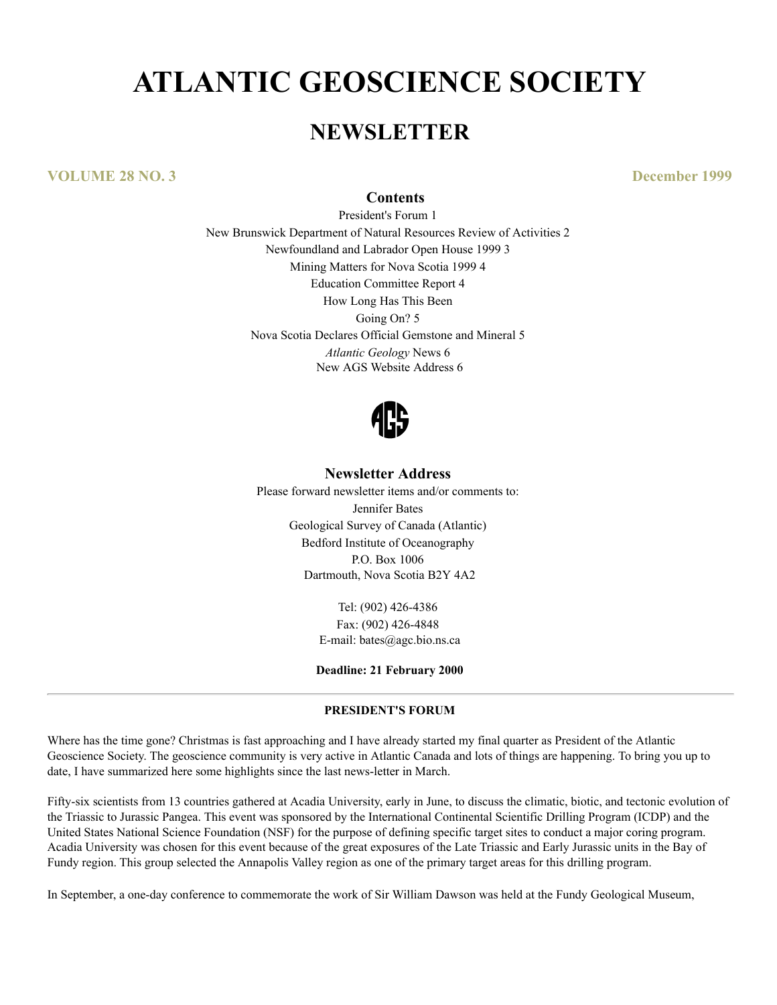# **ATLANTIC GEOSCIENCE SOCIETY**

# **NEWSLETTER**

**VOLUME 28 NO. 3 December 1999**

#### **Contents**

President's Forum 1 New Brunswick Department of Natural Resources Review of Activities 2 Newfoundland and Labrador Open House 1999 3 Mining Matters for Nova Scotia 1999 4 Education Committee Report 4 How Long Has This Been Going On? 5 Nova Scotia Declares Official Gemstone and Mineral 5 *Atlantic Geology* News 6 New AGS Website Address 6



# **Newsletter Address**

Please forward newsletter items and/or comments to: Jennifer Bates Geological Survey of Canada (Atlantic) Bedford Institute of Oceanography P.O. Box 1006 Dartmouth, Nova Scotia B2Y 4A2

> Tel: (902) 426-4386 Fax: (902) 426-4848 E-mail: bates@agc.bio.ns.ca

**Deadline: 21 February 2000**

#### **PRESIDENT'S FORUM**

Where has the time gone? Christmas is fast approaching and I have already started my final quarter as President of the Atlantic Geoscience Society. The geoscience community is very active in Atlantic Canada and lots of things are happening. To bring you up to date, I have summarized here some highlights since the last news-letter in March.

Fifty-six scientists from 13 countries gathered at Acadia University, early in June, to discuss the climatic, biotic, and tectonic evolution of the Triassic to Jurassic Pangea. This event was sponsored by the International Continental Scientific Drilling Program (ICDP) and the United States National Science Foundation (NSF) for the purpose of defining specific target sites to conduct a major coring program. Acadia University was chosen for this event because of the great exposures of the Late Triassic and Early Jurassic units in the Bay of Fundy region. This group selected the Annapolis Valley region as one of the primary target areas for this drilling program.

In September, a one-day conference to commemorate the work of Sir William Dawson was held at the Fundy Geological Museum,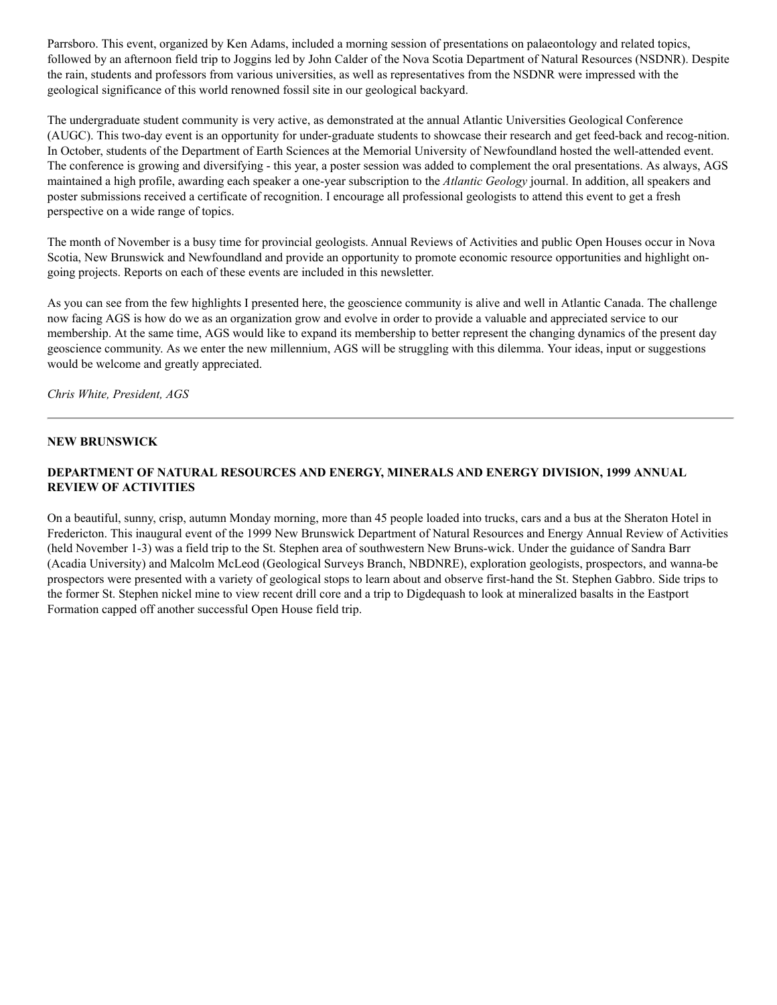Parrsboro. This event, organized by Ken Adams, included a morning session of presentations on palaeontology and related topics, followed by an afternoon field trip to Joggins led by John Calder of the Nova Scotia Department of Natural Resources (NSDNR). Despite the rain, students and professors from various universities, as well as representatives from the NSDNR were impressed with the geological significance of this world renowned fossil site in our geological backyard.

The undergraduate student community is very active, as demonstrated at the annual Atlantic Universities Geological Conference (AUGC). This two-day event is an opportunity for under-graduate students to showcase their research and get feed-back and recog-nition. In October, students of the Department of Earth Sciences at the Memorial University of Newfoundland hosted the well-attended event. The conference is growing and diversifying - this year, a poster session was added to complement the oral presentations. As always, AGS maintained a high profile, awarding each speaker a one-year subscription to the *Atlantic Geology* journal. In addition, all speakers and poster submissions received a certificate of recognition. I encourage all professional geologists to attend this event to get a fresh perspective on a wide range of topics.

The month of November is a busy time for provincial geologists. Annual Reviews of Activities and public Open Houses occur in Nova Scotia, New Brunswick and Newfoundland and provide an opportunity to promote economic resource opportunities and highlight ongoing projects. Reports on each of these events are included in this newsletter.

As you can see from the few highlights I presented here, the geoscience community is alive and well in Atlantic Canada. The challenge now facing AGS is how do we as an organization grow and evolve in order to provide a valuable and appreciated service to our membership. At the same time, AGS would like to expand its membership to better represent the changing dynamics of the present day geoscience community. As we enter the new millennium, AGS will be struggling with this dilemma. Your ideas, input or suggestions would be welcome and greatly appreciated.

*Chris White, President, AGS*

#### **NEW BRUNSWICK**

# **DEPARTMENT OF NATURAL RESOURCES AND ENERGY, MINERALS AND ENERGY DIVISION, 1999 ANNUAL REVIEW OF ACTIVITIES**

On a beautiful, sunny, crisp, autumn Monday morning, more than 45 people loaded into trucks, cars and a bus at the Sheraton Hotel in Fredericton. This inaugural event of the 1999 New Brunswick Department of Natural Resources and Energy Annual Review of Activities (held November 1-3) was a field trip to the St. Stephen area of southwestern New Bruns-wick. Under the guidance of Sandra Barr (Acadia University) and Malcolm McLeod (Geological Surveys Branch, NBDNRE), exploration geologists, prospectors, and wanna-be prospectors were presented with a variety of geological stops to learn about and observe first-hand the St. Stephen Gabbro. Side trips to the former St. Stephen nickel mine to view recent drill core and a trip to Digdequash to look at mineralized basalts in the Eastport Formation capped off another successful Open House field trip.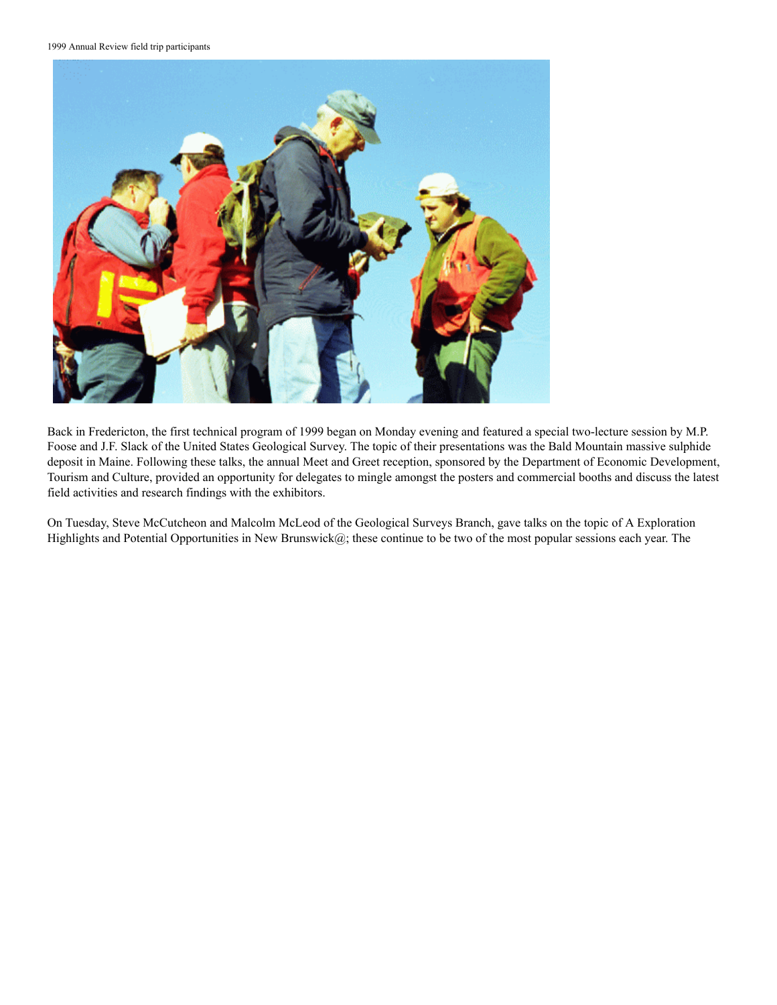1999 Annual Review field trip participants



Back in Fredericton, the first technical program of 1999 began on Monday evening and featured a special two-lecture session by M.P. Foose and J.F. Slack of the United States Geological Survey. The topic of their presentations was the Bald Mountain massive sulphide deposit in Maine. Following these talks, the annual Meet and Greet reception, sponsored by the Department of Economic Development, Tourism and Culture, provided an opportunity for delegates to mingle amongst the posters and commercial booths and discuss the latest field activities and research findings with the exhibitors.

On Tuesday, Steve McCutcheon and Malcolm McLeod of the Geological Surveys Branch, gave talks on the topic of A Exploration Highlights and Potential Opportunities in New Brunswick@; these continue to be two of the most popular sessions each year. The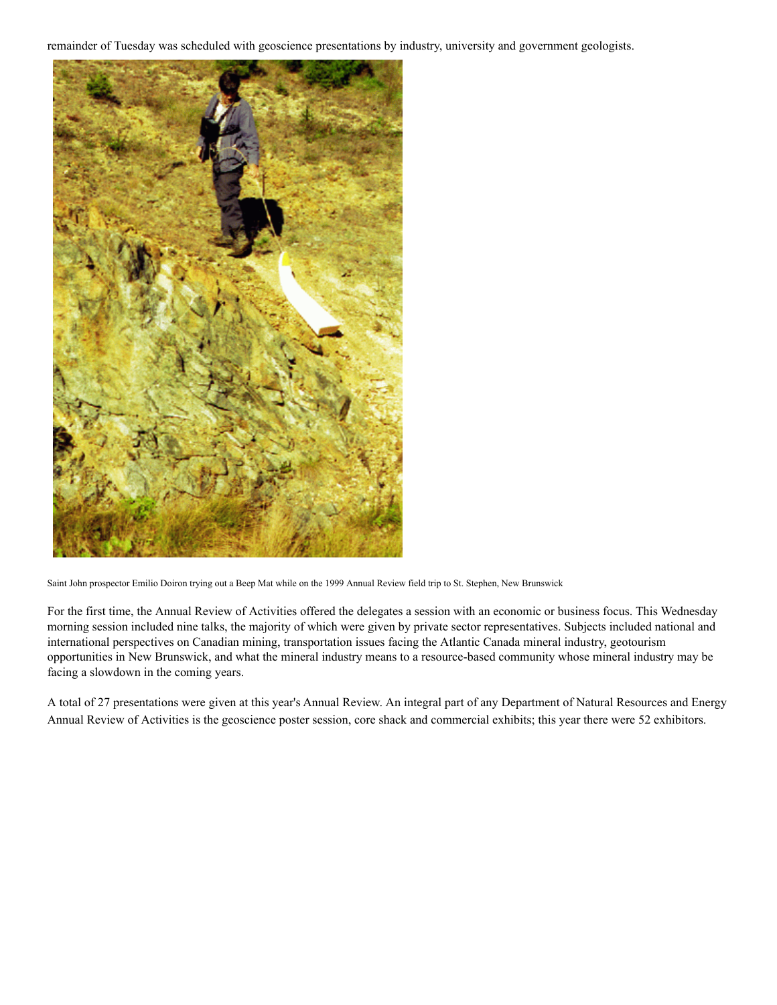remainder of Tuesday was scheduled with geoscience presentations by industry, university and government geologists.



Saint John prospector Emilio Doiron trying out a Beep Mat while on the 1999 Annual Review field trip to St. Stephen, New Brunswick

For the first time, the Annual Review of Activities offered the delegates a session with an economic or business focus. This Wednesday morning session included nine talks, the majority of which were given by private sector representatives. Subjects included national and international perspectives on Canadian mining, transportation issues facing the Atlantic Canada mineral industry, geotourism opportunities in New Brunswick, and what the mineral industry means to a resource-based community whose mineral industry may be facing a slowdown in the coming years.

A total of 27 presentations were given at this year's Annual Review. An integral part of any Department of Natural Resources and Energy Annual Review of Activities is the geoscience poster session, core shack and commercial exhibits; this year there were 52 exhibitors.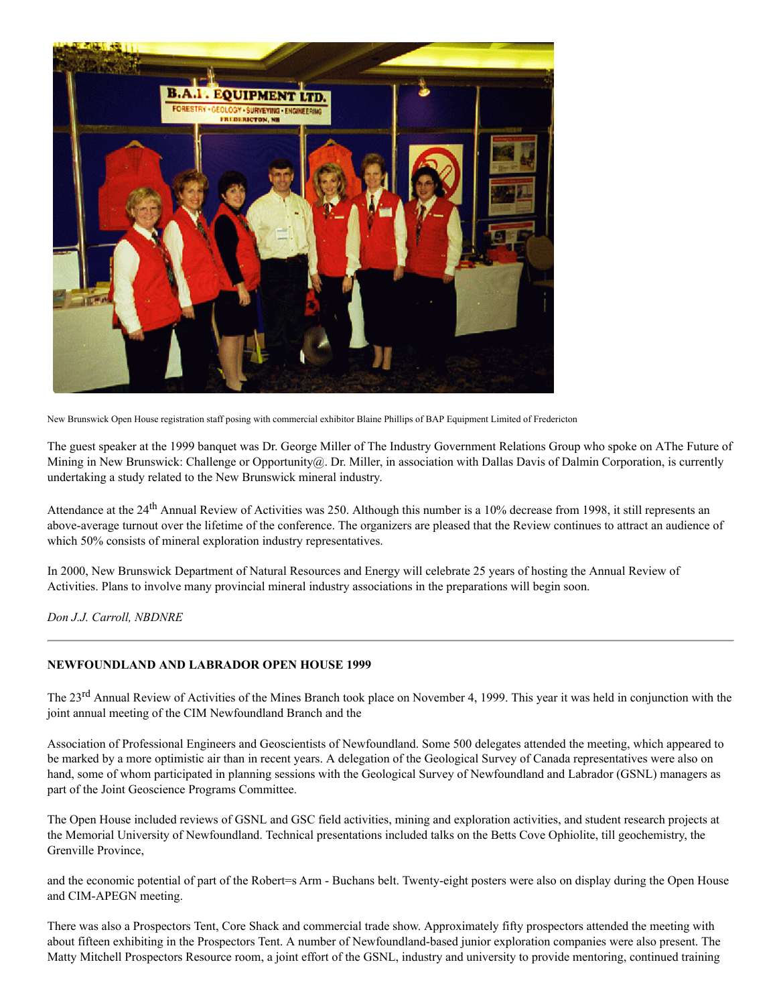

New Brunswick Open House registration staff posing with commercial exhibitor Blaine Phillips of BAP Equipment Limited of Fredericton

The guest speaker at the 1999 banquet was Dr. George Miller of The Industry Government Relations Group who spoke on AThe Future of Mining in New Brunswick: Challenge or Opportunity  $Q$ . Dr. Miller, in association with Dallas Davis of Dalmin Corporation, is currently undertaking a study related to the New Brunswick mineral industry.

Attendance at the 24<sup>th</sup> Annual Review of Activities was 250. Although this number is a 10% decrease from 1998, it still represents an above-average turnout over the lifetime of the conference. The organizers are pleased that the Review continues to attract an audience of which 50% consists of mineral exploration industry representatives.

In 2000, New Brunswick Department of Natural Resources and Energy will celebrate 25 years of hosting the Annual Review of Activities. Plans to involve many provincial mineral industry associations in the preparations will begin soon.

*Don J.J. Carroll, NBDNRE*

# **NEWFOUNDLAND AND LABRADOR OPEN HOUSE 1999**

The 23<sup>rd</sup> Annual Review of Activities of the Mines Branch took place on November 4, 1999. This year it was held in conjunction with the joint annual meeting of the CIM Newfoundland Branch and the

Association of Professional Engineers and Geoscientists of Newfoundland. Some 500 delegates attended the meeting, which appeared to be marked by a more optimistic air than in recent years. A delegation of the Geological Survey of Canada representatives were also on hand, some of whom participated in planning sessions with the Geological Survey of Newfoundland and Labrador (GSNL) managers as part of the Joint Geoscience Programs Committee.

The Open House included reviews of GSNL and GSC field activities, mining and exploration activities, and student research projects at the Memorial University of Newfoundland. Technical presentations included talks on the Betts Cove Ophiolite, till geochemistry, the Grenville Province,

and the economic potential of part of the Robert=s Arm - Buchans belt. Twenty-eight posters were also on display during the Open House and CIM-APEGN meeting.

There was also a Prospectors Tent, Core Shack and commercial trade show. Approximately fifty prospectors attended the meeting with about fifteen exhibiting in the Prospectors Tent. A number of Newfoundland-based junior exploration companies were also present. The Matty Mitchell Prospectors Resource room, a joint effort of the GSNL, industry and university to provide mentoring, continued training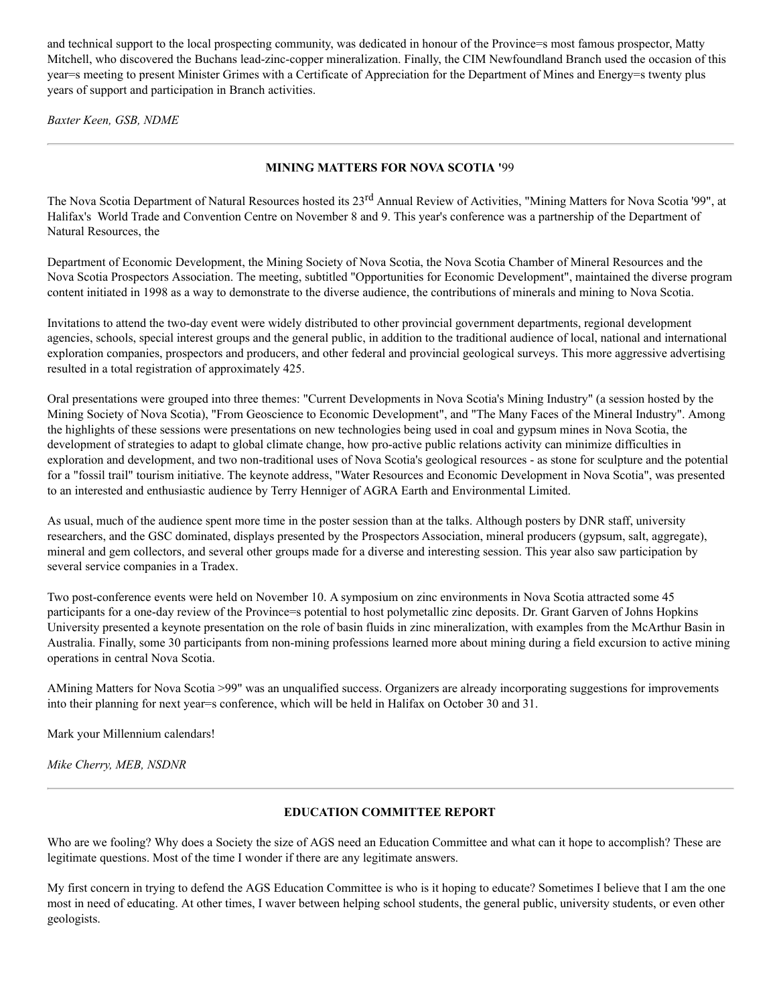and technical support to the local prospecting community, was dedicated in honour of the Province=s most famous prospector, Matty Mitchell, who discovered the Buchans lead-zinc-copper mineralization. Finally, the CIM Newfoundland Branch used the occasion of this year=s meeting to present Minister Grimes with a Certificate of Appreciation for the Department of Mines and Energy=s twenty plus years of support and participation in Branch activities.

*Baxter Keen, GSB, NDME*

# **MINING MATTERS FOR NOVA SCOTIA '**99

The Nova Scotia Department of Natural Resources hosted its 23<sup>rd</sup> Annual Review of Activities, "Mining Matters for Nova Scotia '99", at Halifax's World Trade and Convention Centre on November 8 and 9. This year's conference was a partnership of the Department of Natural Resources, the

Department of Economic Development, the Mining Society of Nova Scotia, the Nova Scotia Chamber of Mineral Resources and the Nova Scotia Prospectors Association. The meeting, subtitled "Opportunities for Economic Development", maintained the diverse program content initiated in 1998 as a way to demonstrate to the diverse audience, the contributions of minerals and mining to Nova Scotia.

Invitations to attend the two-day event were widely distributed to other provincial government departments, regional development agencies, schools, special interest groups and the general public, in addition to the traditional audience of local, national and international exploration companies, prospectors and producers, and other federal and provincial geological surveys. This more aggressive advertising resulted in a total registration of approximately 425.

Oral presentations were grouped into three themes: "Current Developments in Nova Scotia's Mining Industry" (a session hosted by the Mining Society of Nova Scotia), "From Geoscience to Economic Development", and "The Many Faces of the Mineral Industry". Among the highlights of these sessions were presentations on new technologies being used in coal and gypsum mines in Nova Scotia, the development of strategies to adapt to global climate change, how pro-active public relations activity can minimize difficulties in exploration and development, and two non-traditional uses of Nova Scotia's geological resources - as stone for sculpture and the potential for a "fossil trail" tourism initiative. The keynote address, "Water Resources and Economic Development in Nova Scotia", was presented to an interested and enthusiastic audience by Terry Henniger of AGRA Earth and Environmental Limited.

As usual, much of the audience spent more time in the poster session than at the talks. Although posters by DNR staff, university researchers, and the GSC dominated, displays presented by the Prospectors Association, mineral producers (gypsum, salt, aggregate), mineral and gem collectors, and several other groups made for a diverse and interesting session. This year also saw participation by several service companies in a Tradex.

Two post-conference events were held on November 10. A symposium on zinc environments in Nova Scotia attracted some 45 participants for a one-day review of the Province=s potential to host polymetallic zinc deposits. Dr. Grant Garven of Johns Hopkins University presented a keynote presentation on the role of basin fluids in zinc mineralization, with examples from the McArthur Basin in Australia. Finally, some 30 participants from non-mining professions learned more about mining during a field excursion to active mining operations in central Nova Scotia.

AMining Matters for Nova Scotia >99" was an unqualified success. Organizers are already incorporating suggestions for improvements into their planning for next year=s conference, which will be held in Halifax on October 30 and 31.

Mark your Millennium calendars!

*Mike Cherry, MEB, NSDNR*

# **EDUCATION COMMITTEE REPORT**

Who are we fooling? Why does a Society the size of AGS need an Education Committee and what can it hope to accomplish? These are legitimate questions. Most of the time I wonder if there are any legitimate answers.

My first concern in trying to defend the AGS Education Committee is who is it hoping to educate? Sometimes I believe that I am the one most in need of educating. At other times, I waver between helping school students, the general public, university students, or even other geologists.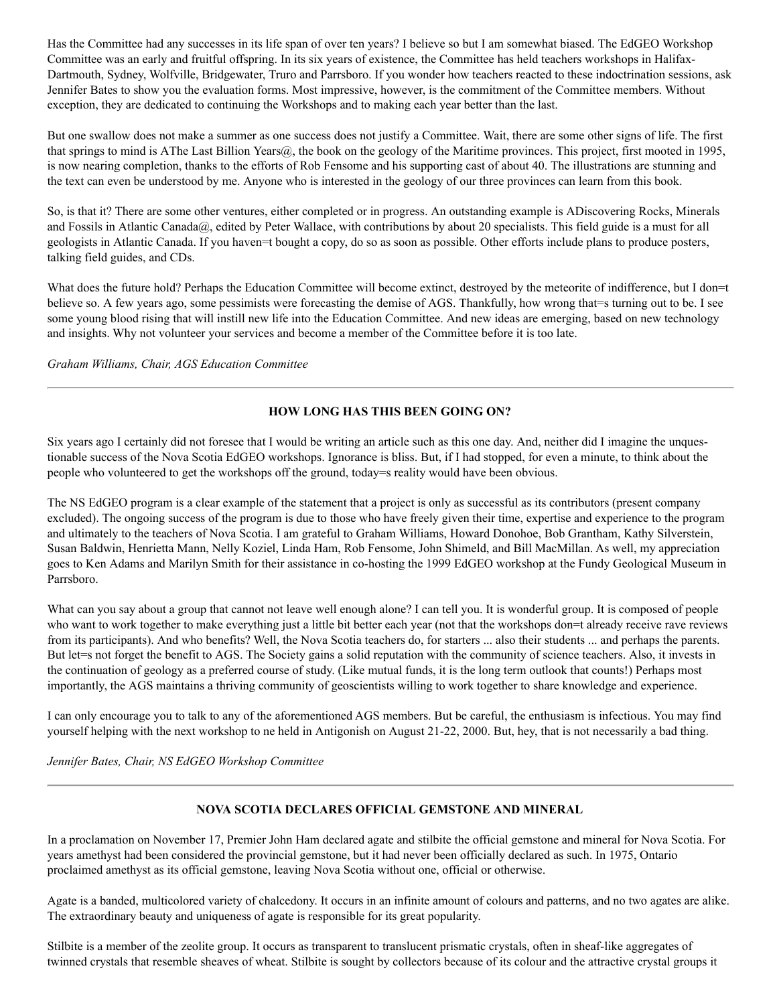Has the Committee had any successes in its life span of over ten years? I believe so but I am somewhat biased. The EdGEO Workshop Committee was an early and fruitful offspring. In its six years of existence, the Committee has held teachers workshops in Halifax-Dartmouth, Sydney, Wolfville, Bridgewater, Truro and Parrsboro. If you wonder how teachers reacted to these indoctrination sessions, ask Jennifer Bates to show you the evaluation forms. Most impressive, however, is the commitment of the Committee members. Without exception, they are dedicated to continuing the Workshops and to making each year better than the last.

But one swallow does not make a summer as one success does not justify a Committee. Wait, there are some other signs of life. The first that springs to mind is AThe Last Billion Years@, the book on the geology of the Maritime provinces. This project, first mooted in 1995, is now nearing completion, thanks to the efforts of Rob Fensome and his supporting cast of about 40. The illustrations are stunning and the text can even be understood by me. Anyone who is interested in the geology of our three provinces can learn from this book.

So, is that it? There are some other ventures, either completed or in progress. An outstanding example is ADiscovering Rocks, Minerals and Fossils in Atlantic Canada@, edited by Peter Wallace, with contributions by about 20 specialists. This field guide is a must for all geologists in Atlantic Canada. If you haven=t bought a copy, do so as soon as possible. Other efforts include plans to produce posters, talking field guides, and CDs.

What does the future hold? Perhaps the Education Committee will become extinct, destroyed by the meteorite of indifference, but I don=t believe so. A few years ago, some pessimists were forecasting the demise of AGS. Thankfully, how wrong that=s turning out to be. I see some young blood rising that will instill new life into the Education Committee. And new ideas are emerging, based on new technology and insights. Why not volunteer your services and become a member of the Committee before it is too late.

*Graham Williams, Chair, AGS Education Committee*

# **HOW LONG HAS THIS BEEN GOING ON?**

Six years ago I certainly did not foresee that I would be writing an article such as this one day. And, neither did I imagine the unquestionable success of the Nova Scotia EdGEO workshops. Ignorance is bliss. But, if I had stopped, for even a minute, to think about the people who volunteered to get the workshops off the ground, today=s reality would have been obvious.

The NS EdGEO program is a clear example of the statement that a project is only as successful as its contributors (present company excluded). The ongoing success of the program is due to those who have freely given their time, expertise and experience to the program and ultimately to the teachers of Nova Scotia. I am grateful to Graham Williams, Howard Donohoe, Bob Grantham, Kathy Silverstein, Susan Baldwin, Henrietta Mann, Nelly Koziel, Linda Ham, Rob Fensome, John Shimeld, and Bill MacMillan. As well, my appreciation goes to Ken Adams and Marilyn Smith for their assistance in co-hosting the 1999 EdGEO workshop at the Fundy Geological Museum in Parrsboro.

What can you say about a group that cannot not leave well enough alone? I can tell you. It is wonderful group. It is composed of people who want to work together to make everything just a little bit better each year (not that the workshops don=t already receive rave reviews from its participants). And who benefits? Well, the Nova Scotia teachers do, for starters ... also their students ... and perhaps the parents. But let=s not forget the benefit to AGS. The Society gains a solid reputation with the community of science teachers. Also, it invests in the continuation of geology as a preferred course of study. (Like mutual funds, it is the long term outlook that counts!) Perhaps most importantly, the AGS maintains a thriving community of geoscientists willing to work together to share knowledge and experience.

I can only encourage you to talk to any of the aforementioned AGS members. But be careful, the enthusiasm is infectious. You may find yourself helping with the next workshop to ne held in Antigonish on August 21-22, 2000. But, hey, that is not necessarily a bad thing.

*Jennifer Bates, Chair, NS EdGEO Workshop Committee*

# **NOVA SCOTIA DECLARES OFFICIAL GEMSTONE AND MINERAL**

In a proclamation on November 17, Premier John Ham declared agate and stilbite the official gemstone and mineral for Nova Scotia. For years amethyst had been considered the provincial gemstone, but it had never been officially declared as such. In 1975, Ontario proclaimed amethyst as its official gemstone, leaving Nova Scotia without one, official or otherwise.

Agate is a banded, multicolored variety of chalcedony. It occurs in an infinite amount of colours and patterns, and no two agates are alike. The extraordinary beauty and uniqueness of agate is responsible for its great popularity.

Stilbite is a member of the zeolite group. It occurs as transparent to translucent prismatic crystals, often in sheaf-like aggregates of twinned crystals that resemble sheaves of wheat. Stilbite is sought by collectors because of its colour and the attractive crystal groups it